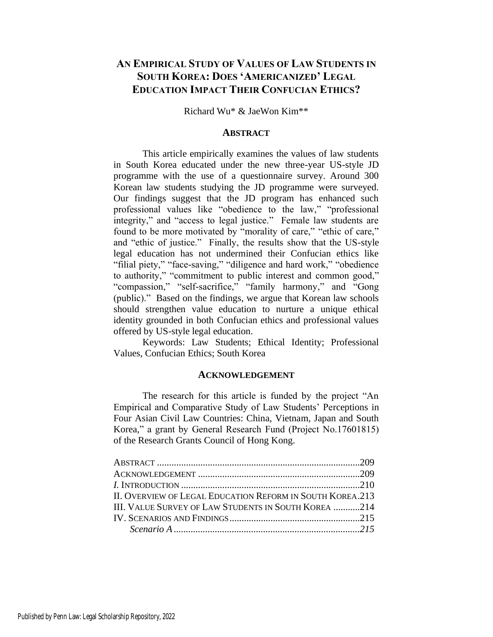# **AN EMPIRICAL STUDY OF VALUES OF LAW STUDENTS IN SOUTH KOREA: DOES 'AMERICANIZED' LEGAL EDUCATION IMPACT THEIR CONFUCIAN ETHICS?**

Richard Wu\* & JaeWon Kim\*\*

# **ABSTRACT**

This article empirically examines the values of law students in South Korea educated under the new three-year US-style JD programme with the use of a questionnaire survey. Around 300 Korean law students studying the JD programme were surveyed. Our findings suggest that the JD program has enhanced such professional values like "obedience to the law," "professional integrity," and "access to legal justice." Female law students are found to be more motivated by "morality of care," "ethic of care," and "ethic of justice." Finally, the results show that the US-style legal education has not undermined their Confucian ethics like "filial piety," "face-saving," "diligence and hard work," "obedience to authority," "commitment to public interest and common good," "compassion," "self-sacrifice," "family harmony," and "Gong (public)." Based on the findings, we argue that Korean law schools should strengthen value education to nurture a unique ethical identity grounded in both Confucian ethics and professional values offered by US-style legal education.

Keywords: Law Students; Ethical Identity; Professional Values, Confucian Ethics; South Korea

#### **ACKNOWLEDGEMENT**

The research for this article is funded by the project "An Empirical and Comparative Study of Law Students' Perceptions in Four Asian Civil Law Countries: China, Vietnam, Japan and South Korea," a grant by General Research Fund (Project No.17601815) of the Research Grants Council of Hong Kong.

| II. OVERVIEW OF LEGAL EDUCATION REFORM IN SOUTH KOREA.213 |  |
|-----------------------------------------------------------|--|
| III. VALUE SURVEY OF LAW STUDENTS IN SOUTH KOREA 214      |  |
|                                                           |  |
|                                                           |  |
|                                                           |  |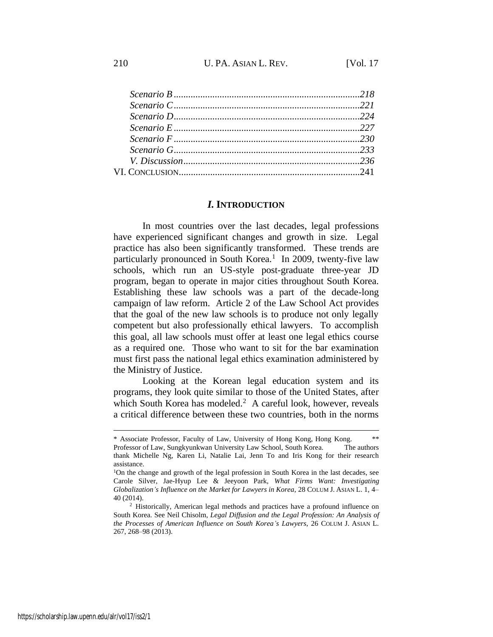# *I.* **INTRODUCTION**

In most countries over the last decades, legal professions have experienced significant changes and growth in size. Legal practice has also been significantly transformed. These trends are particularly pronounced in South Korea.<sup>1</sup> In 2009, twenty-five law schools, which run an US-style post-graduate three-year JD program, began to operate in major cities throughout South Korea. Establishing these law schools was a part of the decade-long campaign of law reform. Article 2 of the Law School Act provides that the goal of the new law schools is to produce not only legally competent but also professionally ethical lawyers. To accomplish this goal, all law schools must offer at least one legal ethics course as a required one. Those who want to sit for the bar examination must first pass the national legal ethics examination administered by the Ministry of Justice.

Looking at the Korean legal education system and its programs, they look quite similar to those of the United States, after which South Korea has modeled. $2$  A careful look, however, reveals a critical difference between these two countries, both in the norms

<sup>\*</sup> Associate Professor, Faculty of Law, University of Hong Kong, Hong Kong. \*\* Professor of Law, Sungkyunkwan University Law School, South Korea. The authors thank Michelle Ng, Karen Li, Natalie Lai, Jenn To and Iris Kong for their research assistance.

<sup>1</sup>On the change and growth of the legal profession in South Korea in the last decades, see Carole Silver, Jae-Hyup Lee & Jeeyoon Park, *What Firms Want: Investigating Globalization's Influence on the Market for Lawyers in Korea*, 28 COLUM J. ASIAN L. 1, 4– 40 (2014).

<sup>&</sup>lt;sup>2</sup> Historically, American legal methods and practices have a profound influence on South Korea. See Neil Chisolm, *Legal Diffusion and the Legal Profession: An Analysis of the Processes of American Influence on South Korea's Lawyers*, 26 COLUM J. ASIAN L. 267, 268–98 (2013).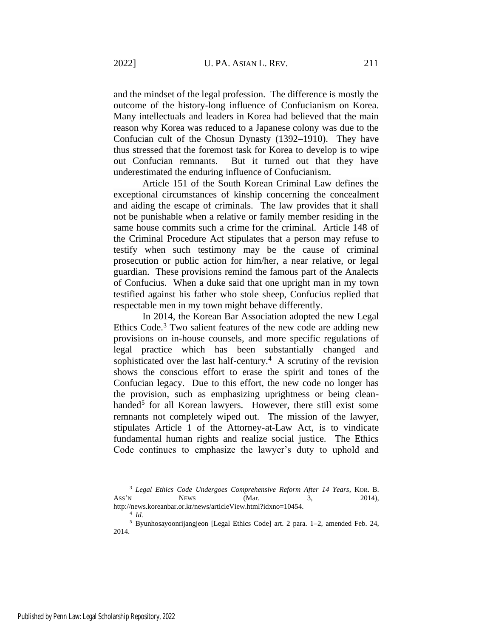and the mindset of the legal profession. The difference is mostly the outcome of the history-long influence of Confucianism on Korea. Many intellectuals and leaders in Korea had believed that the main reason why Korea was reduced to a Japanese colony was due to the Confucian cult of the Chosun Dynasty (1392–1910). They have thus stressed that the foremost task for Korea to develop is to wipe out Confucian remnants. But it turned out that they have underestimated the enduring influence of Confucianism.

Article 151 of the South Korean Criminal Law defines the exceptional circumstances of kinship concerning the concealment and aiding the escape of criminals. The law provides that it shall not be punishable when a relative or family member residing in the same house commits such a crime for the criminal. Article 148 of the Criminal Procedure Act stipulates that a person may refuse to testify when such testimony may be the cause of criminal prosecution or public action for him/her, a near relative, or legal guardian. These provisions remind the famous part of the Analects of Confucius. When a duke said that one upright man in my town testified against his father who stole sheep, Confucius replied that respectable men in my town might behave differently.

In 2014, the Korean Bar Association adopted the new Legal Ethics Code.<sup>3</sup> Two salient features of the new code are adding new provisions on in-house counsels, and more specific regulations of legal practice which has been substantially changed and sophisticated over the last half-century. $4$  A scrutiny of the revision shows the conscious effort to erase the spirit and tones of the Confucian legacy. Due to this effort, the new code no longer has the provision, such as emphasizing uprightness or being cleanhanded<sup>5</sup> for all Korean lawyers. However, there still exist some remnants not completely wiped out. The mission of the lawyer, stipulates Article 1 of the Attorney-at-Law Act, is to vindicate fundamental human rights and realize social justice. The Ethics Code continues to emphasize the lawyer's duty to uphold and

<sup>3</sup> *Legal Ethics Code Undergoes Comprehensive Reform After 14 Years*, KOR. B. Ass'N NEWS (Mar. 3, 2014), http://news.koreanbar.or.kr/news/articleView.html?idxno=10454.

<sup>4</sup> *Id.*

<sup>5</sup> Byunhosayoonrijangjeon [Legal Ethics Code] art. 2 para. 1–2, amended Feb. 24, 2014.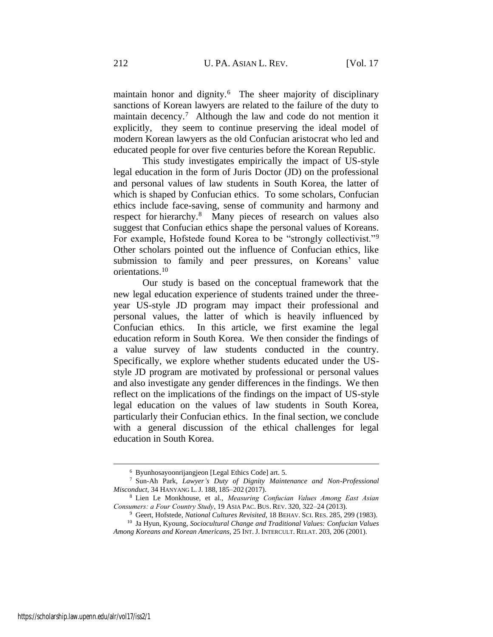maintain honor and dignity.<sup>6</sup> The sheer majority of disciplinary sanctions of Korean lawyers are related to the failure of the duty to maintain decency.<sup>7</sup> Although the law and code do not mention it explicitly, they seem to continue preserving the ideal model of modern Korean lawyers as the old Confucian aristocrat who led and educated people for over five centuries before the Korean Republic.

<span id="page-3-1"></span>This study investigates empirically the impact of US-style legal education in the form of Juris Doctor (JD) on the professional and personal values of law students in South Korea, the latter of which is shaped by Confucian ethics. To some scholars, Confucian ethics include face-saving, sense of community and harmony and respect for hierarchy.<sup>8</sup> Many pieces of research on values also suggest that Confucian ethics shape the personal values of Koreans. For example, Hofstede found Korea to be "strongly collectivist."<sup>9</sup> Other scholars pointed out the influence of Confucian ethics, like submission to family and peer pressures, on Koreans' value orientations.<sup>10</sup>

<span id="page-3-0"></span>Our study is based on the conceptual framework that the new legal education experience of students trained under the threeyear US-style JD program may impact their professional and personal values, the latter of which is heavily influenced by Confucian ethics. In this article, we first examine the legal education reform in South Korea. We then consider the findings of a value survey of law students conducted in the country. Specifically, we explore whether students educated under the USstyle JD program are motivated by professional or personal values and also investigate any gender differences in the findings. We then reflect on the implications of the findings on the impact of US-style legal education on the values of law students in South Korea, particularly their Confucian ethics. In the final section, we conclude with a general discussion of the ethical challenges for legal education in South Korea.

<sup>6</sup> Byunhosayoonrijangjeon [Legal Ethics Code] art. 5.

<sup>7</sup> Sun-Ah Park, *Lawyer's Duty of Dignity Maintenance and Non-Professional Misconduct,* 34 HANYANG L.J. 188, 185–202 (2017).

<sup>8</sup> Lien Le Monkhouse, et al., *Measuring Confucian Values Among East Asian Consumers: a Four Country Study*, 19 ASIA PAC. BUS. REV. 320, 322–24 (2013).

<sup>9</sup> Geert, Hofstede, *National Cultures Revisited*, 18 BEHAV. SCI. RES. 285, 299 (1983).

<sup>10</sup> Ja Hyun, Kyoung, *Sociocultural Change and Traditional Values: Confucian Values Among Koreans and Korean Americans*, 25 INT.J. INTERCULT. RELAT. 203, 206 (2001).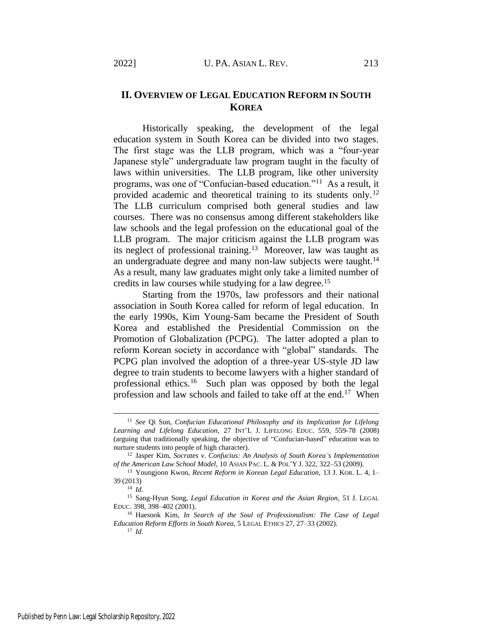# **II. OVERVIEW OF LEGAL EDUCATION REFORM IN SOUTH KOREA**

<span id="page-4-0"></span>Historically speaking, the development of the legal education system in South Korea can be divided into two stages. The first stage was the LLB program, which was a "four-year Japanese style" undergraduate law program taught in the faculty of laws within universities. The LLB program, like other university programs, was one of "Confucian-based education."<sup>11</sup> As a result, it provided academic and theoretical training to its students only.<sup>12</sup> The LLB curriculum comprised both general studies and law courses. There was no consensus among different stakeholders like law schools and the legal profession on the educational goal of the LLB program. The major criticism against the LLB program was its neglect of professional training.<sup>13</sup> Moreover, law was taught as an undergraduate degree and many non-law subjects were taught. $14$ As a result, many law graduates might only take a limited number of credits in law courses while studying for a law degree.<sup>15</sup>

Starting from the 1970s, law professors and their national association in South Korea called for reform of legal education. In the early 1990s, Kim Young-Sam became the President of South Korea and established the Presidential Commission on the Promotion of Globalization (PCPG). The latter adopted a plan to reform Korean society in accordance with "global" standards. The PCPG plan involved the adoption of a three-year US-style JD law degree to train students to become lawyers with a higher standard of professional ethics.<sup>16</sup> Such plan was opposed by both the legal profession and law schools and failed to take off at the end.<sup>17</sup> When

<sup>11</sup> *See* Qi Sun, *Confucian Educational Philosophy and its Implication for Lifelong Learning and Lifelong Education*, 27 INT'L J. LIFELONG EDUC. 559, 559-78 (2008) (arguing that traditionally speaking, the objective of "Confucian-based" education was to nurture students into people of high character).

<sup>12</sup> Jasper Kim, *Socrates v. Confucius: An Analysis of South Korea's Implementation of the American Law School Model*, 10 ASIAN PAC. L. & POL'Y J. 322, 322–53 (2009).

<sup>13</sup> Youngjoon Kwon, *Recent Reform in Korean Legal Education,* 13 J. KOR. L. 4, 1– 39 (2013)

<sup>14</sup> *Id.*

<sup>15</sup> Sang-Hyun Song, *Legal Education in Korea and the Asian Region*, 51 J. LEGAL EDUC. 398, 398–402 (2001).

<sup>16</sup> Haesook Kim, *In Search of the Soul of Professionalism: The Case of Legal Education Reform Efforts in South Korea*, 5 LEGAL ETHICS 27, 27–33 (2002).

<sup>17</sup> *Id.*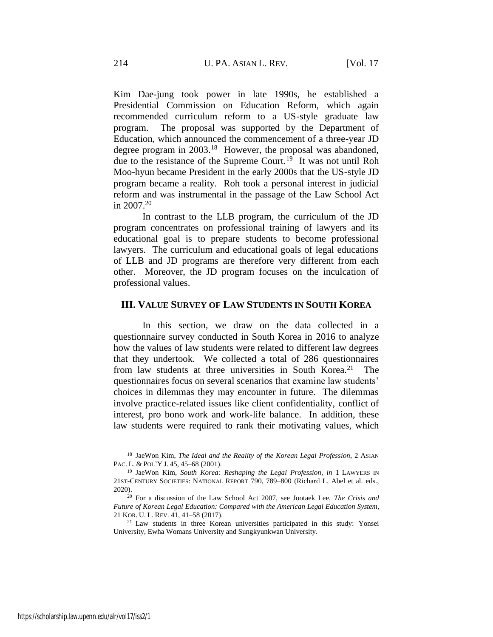Kim Dae-jung took power in late 1990s, he established a Presidential Commission on Education Reform, which again recommended curriculum reform to a US-style graduate law program. The proposal was supported by the Department of Education, which announced the commencement of a three-year JD degree program in 2003.<sup>18</sup> However, the proposal was abandoned, due to the resistance of the Supreme Court.<sup>19</sup> It was not until Roh Moo-hyun became President in the early 2000s that the US-style JD program became a reality. Roh took a personal interest in judicial reform and was instrumental in the passage of the Law School Act in 2007.<sup>20</sup>

In contrast to the LLB program, the curriculum of the JD program concentrates on professional training of lawyers and its educational goal is to prepare students to become professional lawyers. The curriculum and educational goals of legal educations of LLB and JD programs are therefore very different from each other. Moreover, the JD program focuses on the inculcation of professional values.

## **III. VALUE SURVEY OF LAW STUDENTS IN SOUTH KOREA**

In this section, we draw on the data collected in a questionnaire survey conducted in South Korea in 2016 to analyze how the values of law students were related to different law degrees that they undertook. We collected a total of 286 questionnaires from law students at three universities in South Korea.<sup>21</sup> The questionnaires focus on several scenarios that examine law students' choices in dilemmas they may encounter in future. The dilemmas involve practice-related issues like client confidentiality, conflict of interest, pro bono work and work-life balance. In addition, these law students were required to rank their motivating values, which

<sup>18</sup> JaeWon Kim, *The Ideal and the Reality of the Korean Legal Profession*, 2 ASIAN PAC. L. & POL'Y J. 45, 45–68 (2001).

<sup>19</sup> JaeWon Kim, *South Korea: Reshaping the Legal Profession*, *in* 1 LAWYERS IN 21ST-CENTURY SOCIETIES: NATIONAL REPORT 790, 789–800 (Richard L. Abel et al. eds., 2020).

<sup>20</sup> For a discussion of the Law School Act 2007, see Jootaek Lee, *The Crisis and Future of Korean Legal Education: Compared with the American Legal Education System*, 21 KOR. U. L. REV. 41, 41–58 (2017).

<sup>21</sup> Law students in three Korean universities participated in this study: Yonsei University, Ewha Womans University and Sungkyunkwan University.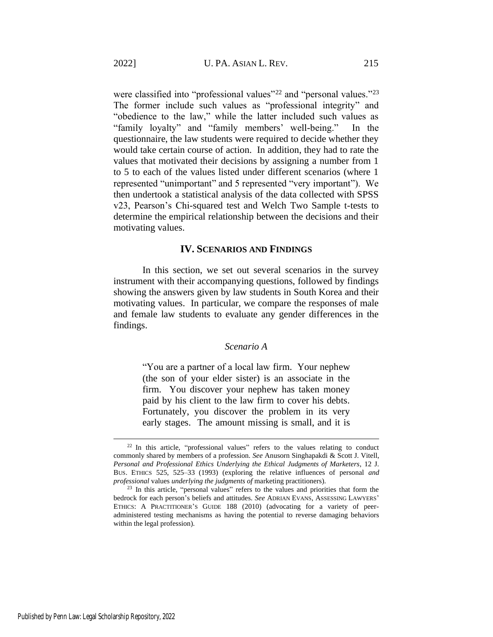were classified into "professional values"<sup>22</sup> and "personal values."<sup>23</sup> The former include such values as "professional integrity" and "obedience to the law," while the latter included such values as "family loyalty" and "family members' well-being." In the questionnaire, the law students were required to decide whether they would take certain course of action. In addition, they had to rate the values that motivated their decisions by assigning a number from 1 to 5 to each of the values listed under different scenarios (where 1 represented "unimportant" and 5 represented "very important"). We then undertook a statistical analysis of the data collected with SPSS v23, Pearson's Chi-squared test and Welch Two Sample t-tests to determine the empirical relationship between the decisions and their motivating values.

#### **IV. SCENARIOS AND FINDINGS**

In this section, we set out several scenarios in the survey instrument with their accompanying questions, followed by findings showing the answers given by law students in South Korea and their motivating values. In particular, we compare the responses of male and female law students to evaluate any gender differences in the findings.

# *Scenario A*

"You are a partner of a local law firm. Your nephew (the son of your elder sister) is an associate in the firm. You discover your nephew has taken money paid by his client to the law firm to cover his debts. Fortunately, you discover the problem in its very early stages. The amount missing is small, and it is

<sup>&</sup>lt;sup>22</sup> In this article, "professional values" refers to the values relating to conduct commonly shared by members of a profession. *See* Anusorn Singhapakdi & Scott J. Vitell, *Personal and Professional Ethics Underlying the Ethical Judgments of Marketers*, 12 J. BUS. ETHICS 525, 525–33 (1993) (exploring the relative influences of personal *and professional* values *underlying the judgments of* marketing practitioners).

<sup>&</sup>lt;sup>23</sup> In this article, "personal values" refers to the values and priorities that form the bedrock for each person's beliefs and attitudes. *See* ADRIAN EVANS, ASSESSING LAWYERS' ETHICS: A PRACTITIONER'S GUIDE 188 (2010) (advocating for a variety of peeradministered testing mechanisms as having the potential to reverse damaging behaviors within the legal profession).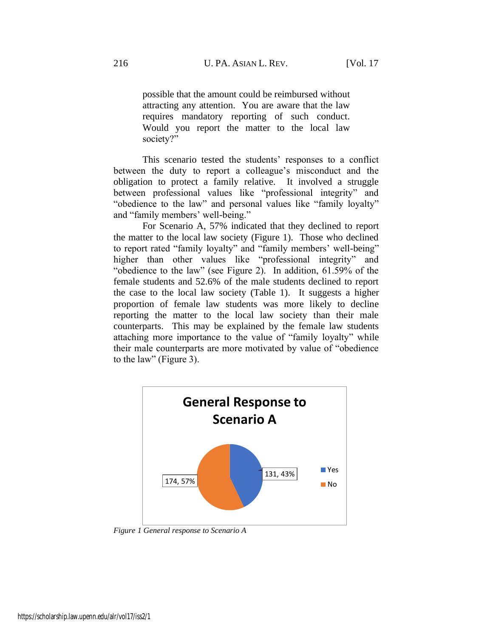possible that the amount could be reimbursed without attracting any attention. You are aware that the law requires mandatory reporting of such conduct. Would you report the matter to the local law society?"

This scenario tested the students' responses to a conflict between the duty to report a colleague's misconduct and the obligation to protect a family relative. It involved a struggle between professional values like "professional integrity" and "obedience to the law" and personal values like "family loyalty" and "family members' well-being."

For Scenario A, 57% indicated that they declined to report the matter to the local law society (Figure 1). Those who declined to report rated "family loyalty" and "family members' well-being" higher than other values like "professional integrity" and "obedience to the law" (see Figure 2). In addition, 61.59% of the female students and 52.6% of the male students declined to report the case to the local law society (Table 1). It suggests a higher proportion of female law students was more likely to decline reporting the matter to the local law society than their male counterparts. This may be explained by the female law students attaching more importance to the value of "family loyalty" while their male counterparts are more motivated by value of "obedience to the law" (Figure 3).



*Figure 1 General response to Scenario A*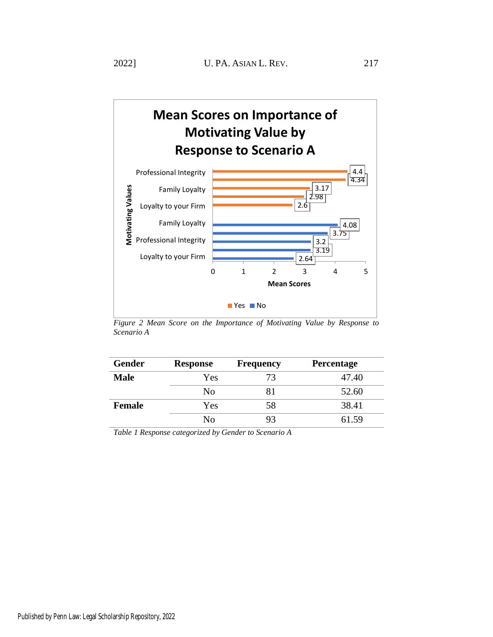

*Figure 2 Mean Score on the Importance of Motivating Value by Response to Scenario A*

| <b>Gender</b> | <b>Response</b> | <b>Frequency</b> | Percentage |
|---------------|-----------------|------------------|------------|
| <b>Male</b>   | Yes             | 73               | 47.40      |
|               | N <sub>0</sub>  |                  | 52.60      |
| <b>Female</b> | Yes             | 58               | 38.41      |
|               | No              | 93               | 61.59      |

*Table 1 Response categorized by Gender to Scenario A*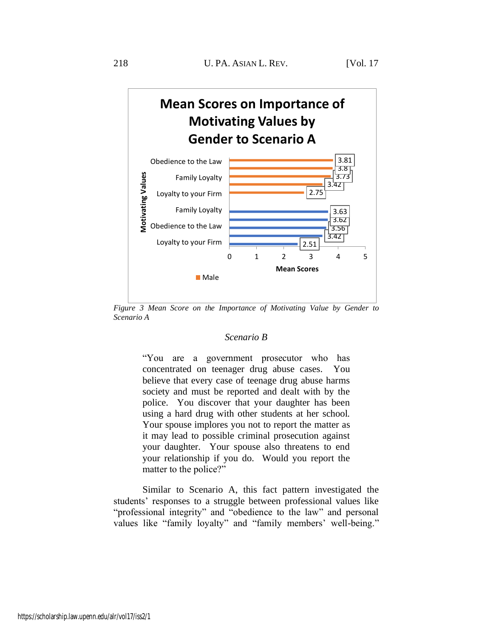

*Figure 3 Mean Score on the Importance of Motivating Value by Gender to Scenario A*

#### *Scenario B*

"You are a government prosecutor who has concentrated on teenager drug abuse cases. You believe that every case of teenage drug abuse harms society and must be reported and dealt with by the police. You discover that your daughter has been using a hard drug with other students at her school. Your spouse implores you not to report the matter as it may lead to possible criminal prosecution against your daughter. Your spouse also threatens to end your relationship if you do. Would you report the matter to the police?"

Similar to Scenario A, this fact pattern investigated the students' responses to a struggle between professional values like "professional integrity" and "obedience to the law" and personal values like "family loyalty" and "family members' well-being."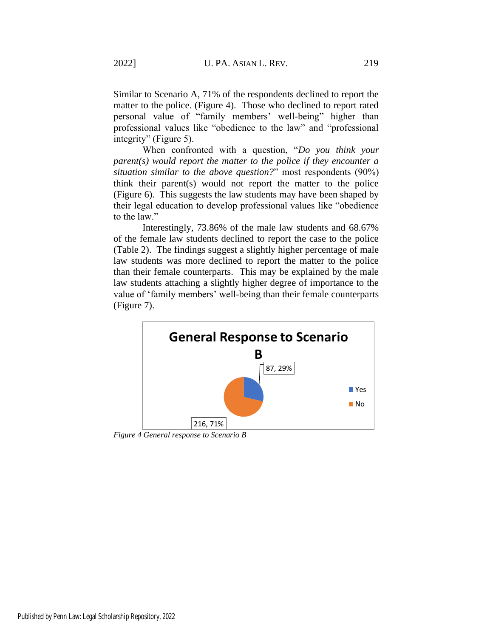Similar to Scenario A, 71% of the respondents declined to report the matter to the police. (Figure 4). Those who declined to report rated personal value of "family members' well-being" higher than professional values like "obedience to the law" and "professional integrity" (Figure 5).

When confronted with a question, "*Do you think your parent(s) would report the matter to the police if they encounter a situation similar to the above question?*" most respondents (90%) think their parent(s) would not report the matter to the police (Figure 6). This suggests the law students may have been shaped by their legal education to develop professional values like "obedience to the law."

Interestingly, 73.86% of the male law students and 68.67% of the female law students declined to report the case to the police (Table 2). The findings suggest a slightly higher percentage of male law students was more declined to report the matter to the police than their female counterparts. This may be explained by the male law students attaching a slightly higher degree of importance to the value of 'family members' well-being than their female counterparts (Figure 7).



*Figure 4 General response to Scenario B*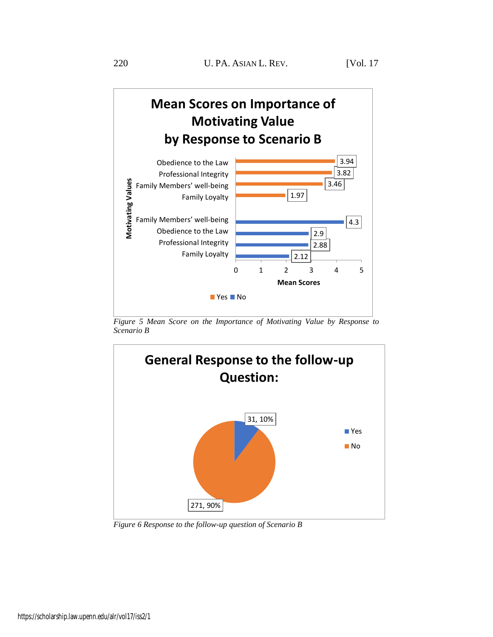

*Figure 5 Mean Score on the Importance of Motivating Value by Response to Scenario B*



*Figure 6 Response to the follow-up question of Scenario B*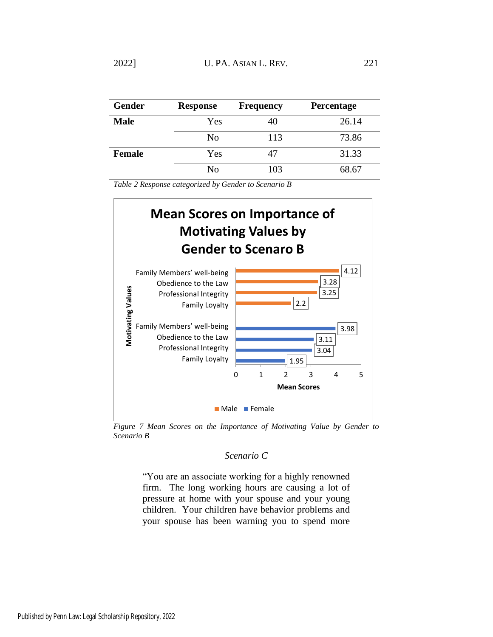| <b>Gender</b> | <b>Response</b> | <b>Frequency</b> | Percentage |
|---------------|-----------------|------------------|------------|
| <b>Male</b>   | Yes             | 40               | 26.14      |
|               | No              | 113              | 73.86      |
| <b>Female</b> | Yes             | 47               | 31.33      |
|               | No              | 103              | 68.67      |

*Table 2 Response categorized by Gender to Scenario B*



*Figure 7 Mean Scores on the Importance of Motivating Value by Gender to Scenario B*

# *Scenario C*

"You are an associate working for a highly renowned firm. The long working hours are causing a lot of pressure at home with your spouse and your young children. Your children have behavior problems and your spouse has been warning you to spend more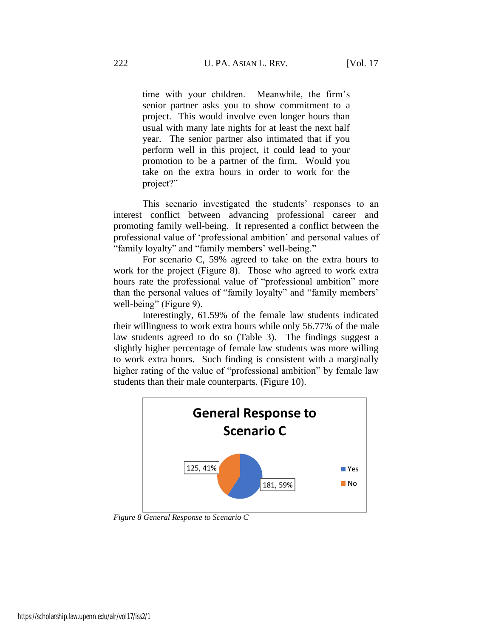time with your children. Meanwhile, the firm's senior partner asks you to show commitment to a project. This would involve even longer hours than usual with many late nights for at least the next half year. The senior partner also intimated that if you perform well in this project, it could lead to your promotion to be a partner of the firm. Would you take on the extra hours in order to work for the project?"

This scenario investigated the students' responses to an interest conflict between advancing professional career and promoting family well-being. It represented a conflict between the professional value of 'professional ambition' and personal values of "family loyalty" and "family members' well-being."

For scenario C, 59% agreed to take on the extra hours to work for the project (Figure 8). Those who agreed to work extra hours rate the professional value of "professional ambition" more than the personal values of "family loyalty" and "family members' well-being" (Figure 9).

Interestingly, 61.59% of the female law students indicated their willingness to work extra hours while only 56.77% of the male law students agreed to do so (Table 3). The findings suggest a slightly higher percentage of female law students was more willing to work extra hours. Such finding is consistent with a marginally higher rating of the value of "professional ambition" by female law students than their male counterparts. (Figure 10).



*Figure 8 General Response to Scenario C*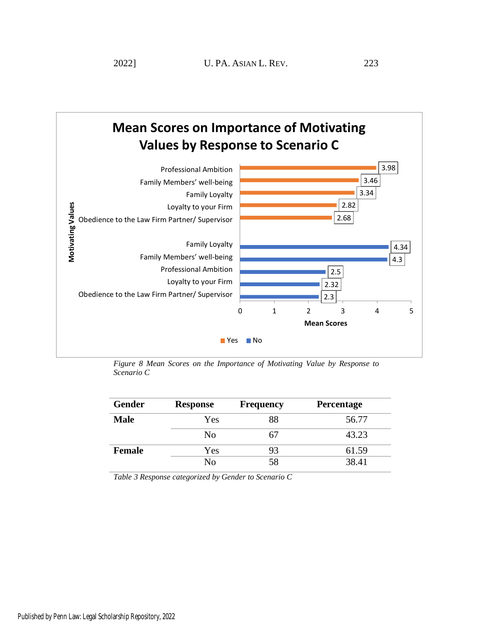



*Figure 8 Mean Scores on the Importance of Motivating Value by Response to Scenario C*

| <b>Gender</b> | <b>Response</b> | <b>Frequency</b> | Percentage |
|---------------|-----------------|------------------|------------|
| <b>Male</b>   | Yes             | 88               | 56.77      |
|               | No              | 67               | 43.23      |
| <b>Female</b> | Yes             | 93               | 61.59      |
|               | No              | 58               | 38.41      |

*Table 3 Response categorized by Gender to Scenario C*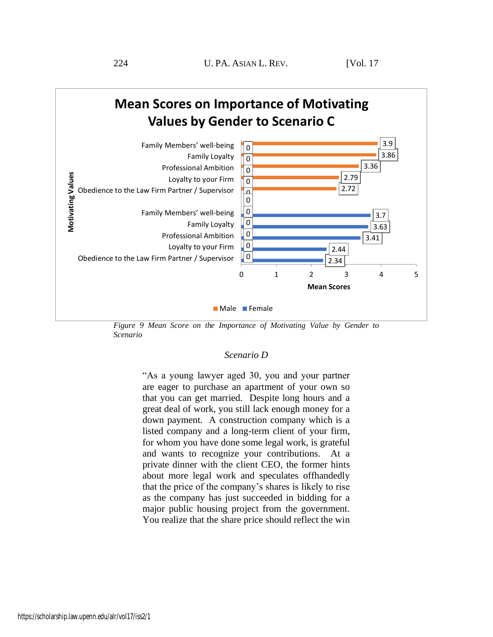

*Figure 9 Mean Score on the Importance of Motivating Value by Gender to Scenario*

#### *Scenario D*

"As a young lawyer aged 30, you and your partner are eager to purchase an apartment of your own so that you can get married. Despite long hours and a great deal of work, you still lack enough money for a down payment. A construction company which is a listed company and a long-term client of your firm, for whom you have done some legal work, is grateful and wants to recognize your contributions. At a private dinner with the client CEO, the former hints about more legal work and speculates offhandedly that the price of the company's shares is likely to rise as the company has just succeeded in bidding for a major public housing project from the government. You realize that the share price should reflect the win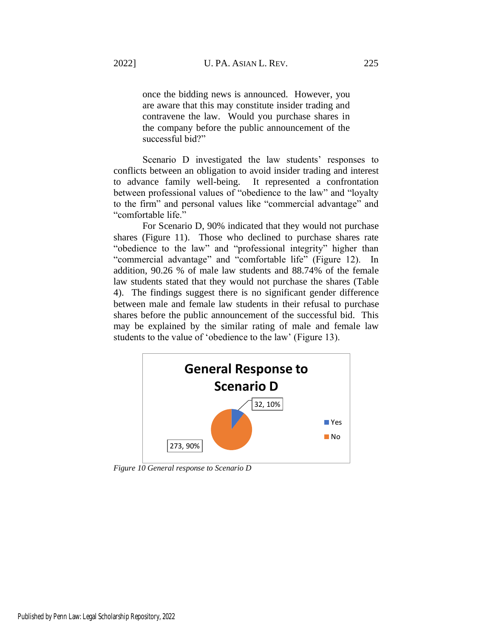once the bidding news is announced. However, you are aware that this may constitute insider trading and contravene the law. Would you purchase shares in the company before the public announcement of the successful bid?"

Scenario D investigated the law students' responses to conflicts between an obligation to avoid insider trading and interest to advance family well-being. It represented a confrontation between professional values of "obedience to the law" and "loyalty to the firm" and personal values like "commercial advantage" and "comfortable life."

For Scenario D, 90% indicated that they would not purchase shares (Figure 11). Those who declined to purchase shares rate "obedience to the law" and "professional integrity" higher than "commercial advantage" and "comfortable life" (Figure 12). In addition, 90.26 % of male law students and 88.74% of the female law students stated that they would not purchase the shares (Table 4). The findings suggest there is no significant gender difference between male and female law students in their refusal to purchase shares before the public announcement of the successful bid. This may be explained by the similar rating of male and female law students to the value of 'obedience to the law' (Figure 13).



*Figure 10 General response to Scenario D*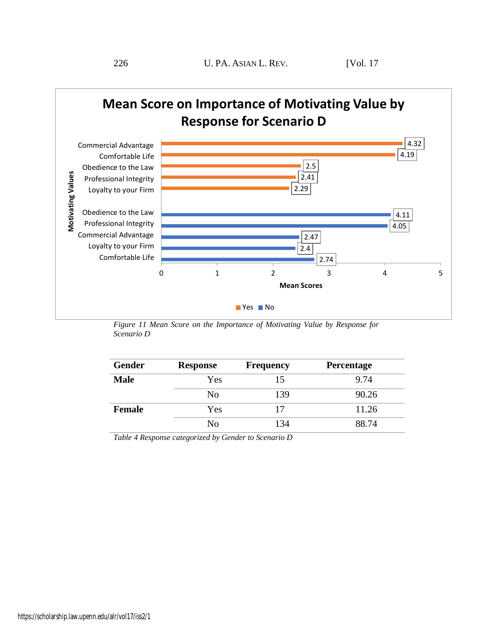

*Figure 11 Mean Score on the Importance of Motivating Value by Response for Scenario D*

| <b>Gender</b> | <b>Response</b> | <b>Frequency</b> | Percentage |
|---------------|-----------------|------------------|------------|
| <b>Male</b>   | Yes             | 15               | 9.74       |
|               | No              | 139              | 90.26      |
| <b>Female</b> | Yes             |                  | 11.26      |
|               | No              | 134              | 88.74      |

*Table 4 Response categorized by Gender to Scenario D*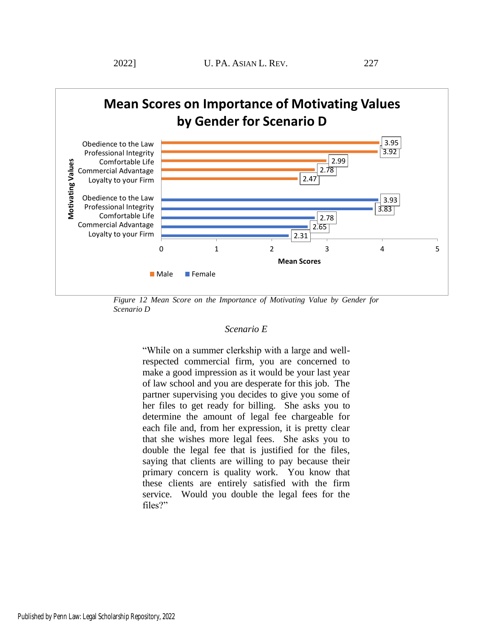

*Figure 12 Mean Score on the Importance of Motivating Value by Gender for Scenario D*

# *Scenario E*

"While on a summer clerkship with a large and wellrespected commercial firm, you are concerned to make a good impression as it would be your last year of law school and you are desperate for this job. The partner supervising you decides to give you some of her files to get ready for billing. She asks you to determine the amount of legal fee chargeable for each file and, from her expression, it is pretty clear that she wishes more legal fees. She asks you to double the legal fee that is justified for the files, saying that clients are willing to pay because their primary concern is quality work. You know that these clients are entirely satisfied with the firm service. Would you double the legal fees for the files?"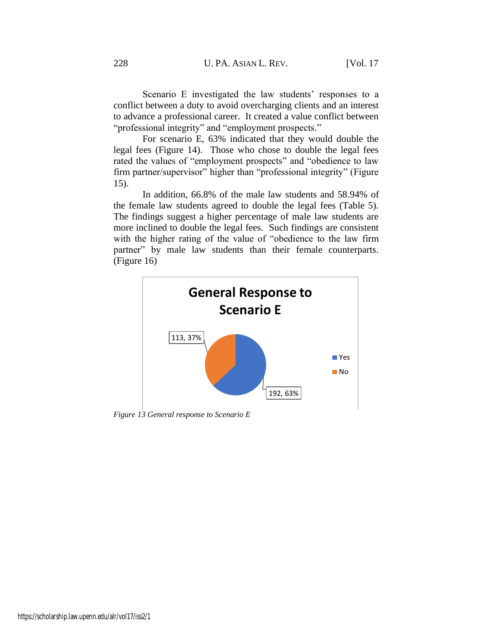Scenario E investigated the law students' responses to a conflict between a duty to avoid overcharging clients and an interest to advance a professional career. It created a value conflict between "professional integrity" and "employment prospects."

For scenario E, 63% indicated that they would double the legal fees (Figure 14). Those who chose to double the legal fees rated the values of "employment prospects" and "obedience to law firm partner/supervisor" higher than "professional integrity" (Figure 15).

In addition, 66.8% of the male law students and 58.94% of the female law students agreed to double the legal fees (Table 5). The findings suggest a higher percentage of male law students are more inclined to double the legal fees. Such findings are consistent with the higher rating of the value of "obedience to the law firm partner" by male law students than their female counterparts. (Figure 16)



*Figure 13 General response to Scenario E*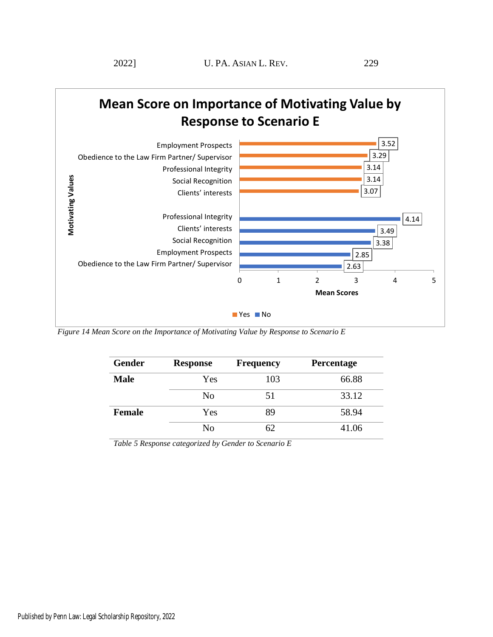



*Figure 14 Mean Score on the Importance of Motivating Value by Response to Scenario E*

| Gender        | <b>Response</b> | <b>Frequency</b> | Percentage |
|---------------|-----------------|------------------|------------|
| <b>Male</b>   | Yes             | 103              | 66.88      |
|               | No              | 51               | 33.12      |
| <b>Female</b> | Yes             | 89               | 58.94      |
|               | No              | 62               | 41.06      |

*Table 5 Response categorized by Gender to Scenario E*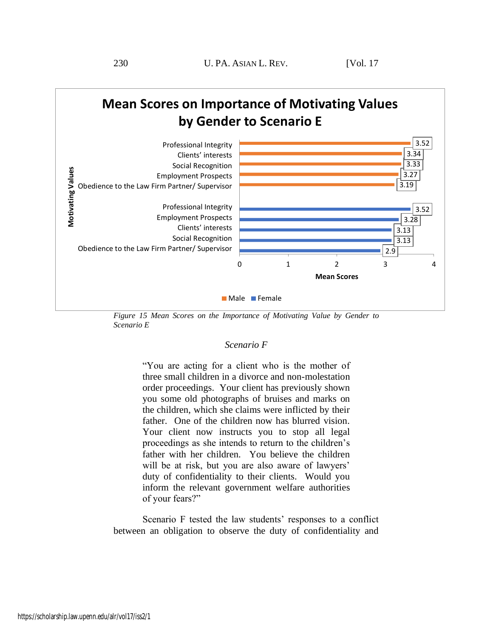

*Figure 15 Mean Scores on the Importance of Motivating Value by Gender to Scenario E*

# *Scenario F*

"You are acting for a client who is the mother of three small children in a divorce and non-molestation order proceedings. Your client has previously shown you some old photographs of bruises and marks on the children, which she claims were inflicted by their father. One of the children now has blurred vision. Your client now instructs you to stop all legal proceedings as she intends to return to the children's father with her children. You believe the children will be at risk, but you are also aware of lawyers' duty of confidentiality to their clients. Would you inform the relevant government welfare authorities of your fears?"

Scenario F tested the law students' responses to a conflict between an obligation to observe the duty of confidentiality and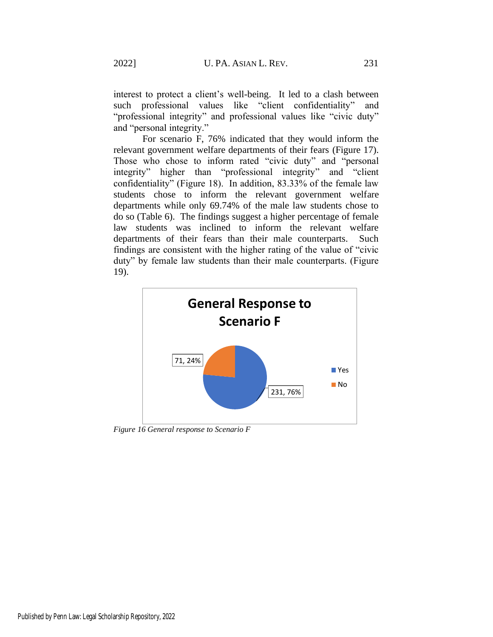interest to protect a client's well-being. It led to a clash between such professional values like "client confidentiality" and "professional integrity" and professional values like "civic duty" and "personal integrity."

For scenario F, 76% indicated that they would inform the relevant government welfare departments of their fears (Figure 17). Those who chose to inform rated "civic duty" and "personal integrity" higher than "professional integrity" and "client confidentiality" (Figure 18). In addition, 83.33% of the female law students chose to inform the relevant government welfare departments while only 69.74% of the male law students chose to do so (Table 6). The findings suggest a higher percentage of female law students was inclined to inform the relevant welfare departments of their fears than their male counterparts. Such findings are consistent with the higher rating of the value of "civic duty" by female law students than their male counterparts. (Figure 19).



*Figure 16 General response to Scenario F*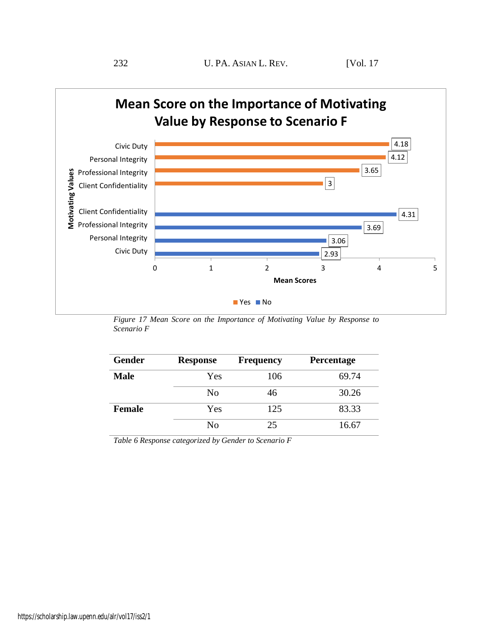

*Figure 17 Mean Score on the Importance of Motivating Value by Response to Scenario F*

| <b>Gender</b> | <b>Response</b> | <b>Frequency</b> | Percentage |
|---------------|-----------------|------------------|------------|
| <b>Male</b>   | Yes             | 106              | 69.74      |
|               | No              | 46               | 30.26      |
| <b>Female</b> | Yes             | 125              | 83.33      |
|               | No              | 25               | 16.67      |

*Table 6 Response categorized by Gender to Scenario F*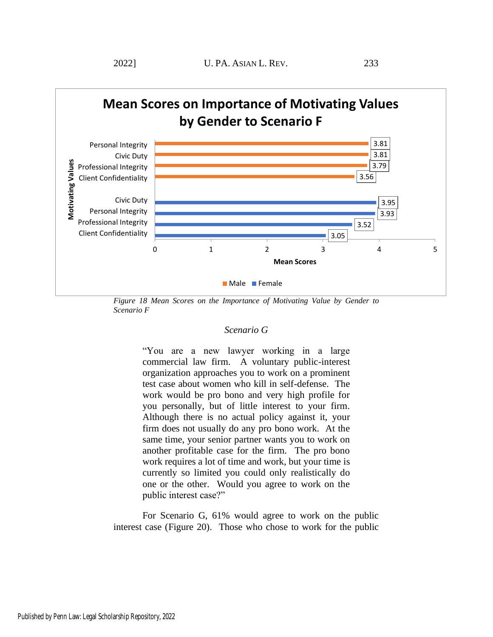

*Figure 18 Mean Scores on the Importance of Motivating Value by Gender to Scenario F*

# *Scenario G*

"You are a new lawyer working in a large commercial law firm. A voluntary public-interest organization approaches you to work on a prominent test case about women who kill in self-defense. The work would be pro bono and very high profile for you personally, but of little interest to your firm. Although there is no actual policy against it, your firm does not usually do any pro bono work. At the same time, your senior partner wants you to work on another profitable case for the firm. The pro bono work requires a lot of time and work, but your time is currently so limited you could only realistically do one or the other. Would you agree to work on the public interest case?"

For Scenario G, 61% would agree to work on the public interest case (Figure 20). Those who chose to work for the public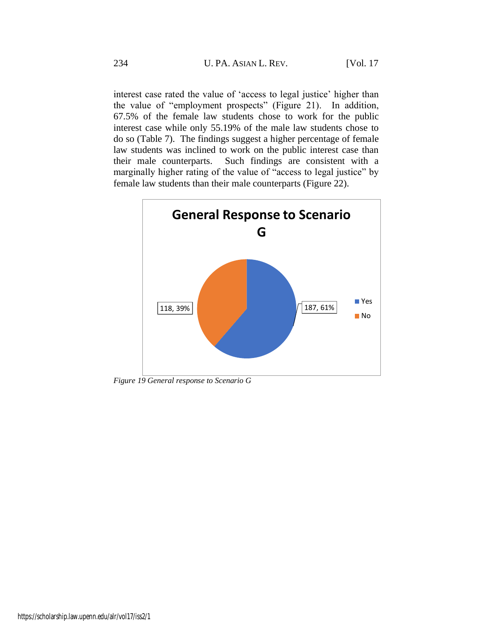interest case rated the value of 'access to legal justice' higher than the value of "employment prospects" (Figure 21). In addition, 67.5% of the female law students chose to work for the public interest case while only 55.19% of the male law students chose to do so (Table 7). The findings suggest a higher percentage of female law students was inclined to work on the public interest case than their male counterparts. Such findings are consistent with a marginally higher rating of the value of "access to legal justice" by female law students than their male counterparts (Figure 22).



*Figure 19 General response to Scenario G*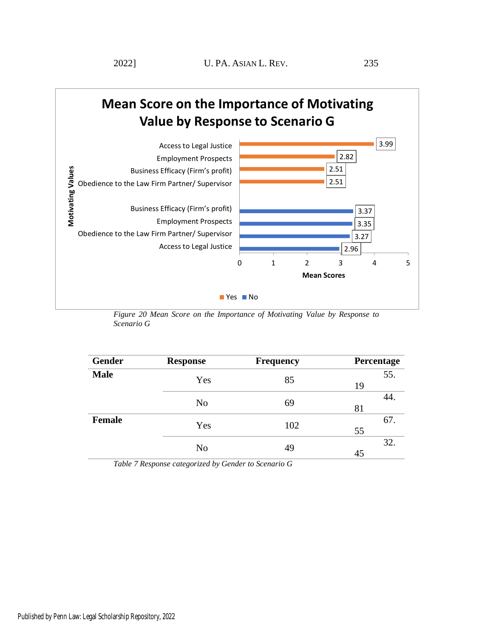

*Figure 20 Mean Score on the Importance of Motivating Value by Response to Scenario G*

| Gender        | <b>Response</b> | <b>Frequency</b> | Percentage |
|---------------|-----------------|------------------|------------|
| <b>Male</b>   | Yes             | 85               | 55.<br>19  |
|               | N <sub>o</sub>  | 69               | 44<br>81   |
| <b>Female</b> | Yes             | 102              | 67.<br>55  |
|               | N <sub>o</sub>  | 49               | 32.<br>45  |

*Table 7 Response categorized by Gender to Scenario G*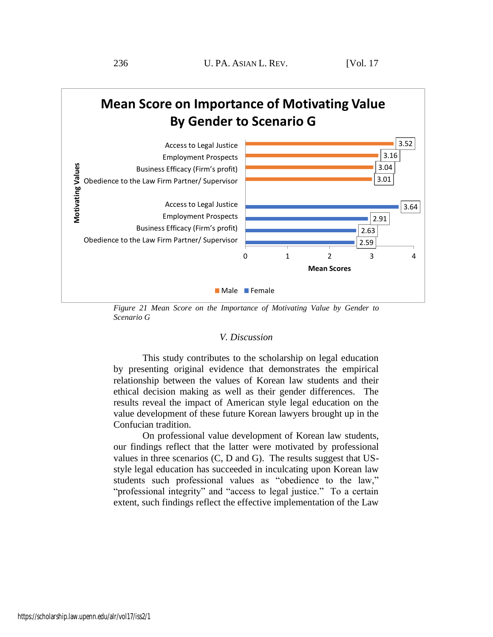

*Figure 21 Mean Score on the Importance of Motivating Value by Gender to Scenario G*

# *V. Discussion*

This study contributes to the scholarship on legal education by presenting original evidence that demonstrates the empirical relationship between the values of Korean law students and their ethical decision making as well as their gender differences. The results reveal the impact of American style legal education on the value development of these future Korean lawyers brought up in the Confucian tradition.

On professional value development of Korean law students, our findings reflect that the latter were motivated by professional values in three scenarios (C, D and G). The results suggest that USstyle legal education has succeeded in inculcating upon Korean law students such professional values as "obedience to the law," "professional integrity" and "access to legal justice." To a certain extent, such findings reflect the effective implementation of the Law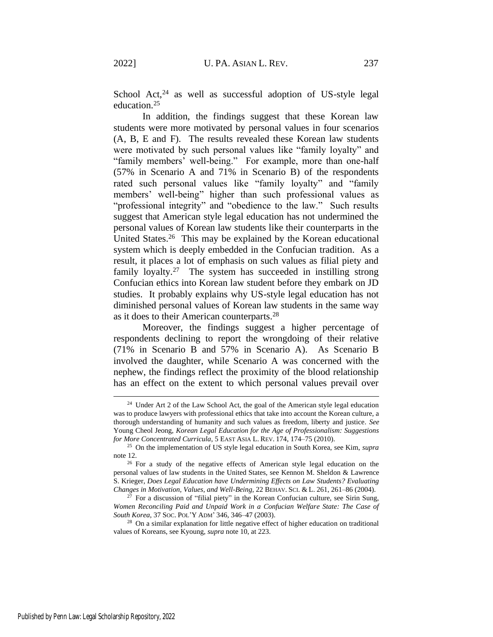School Act, $24$  as well as successful adoption of US-style legal education.<sup>25</sup>

In addition, the findings suggest that these Korean law students were more motivated by personal values in four scenarios (A, B, E and F). The results revealed these Korean law students were motivated by such personal values like "family loyalty" and "family members' well-being." For example, more than one-half (57% in Scenario A and 71% in Scenario B) of the respondents rated such personal values like "family loyalty" and "family members' well-being" higher than such professional values as "professional integrity" and "obedience to the law." Such results suggest that American style legal education has not undermined the personal values of Korean law students like their counterparts in the United States.<sup>26</sup> This may be explained by the Korean educational system which is deeply embedded in the Confucian tradition. As a result, it places a lot of emphasis on such values as filial piety and family loyalty.<sup>27</sup> The system has succeeded in instilling strong Confucian ethics into Korean law student before they embark on JD studies. It probably explains why US-style legal education has not diminished personal values of Korean law students in the same way as it does to their American counterparts.<sup>28</sup>

Moreover, the findings suggest a higher percentage of respondents declining to report the wrongdoing of their relative (71% in Scenario B and 57% in Scenario A). As Scenario B involved the daughter, while Scenario A was concerned with the nephew, the findings reflect the proximity of the blood relationship has an effect on the extent to which personal values prevail over

<sup>&</sup>lt;sup>24</sup> Under Art 2 of the Law School Act, the goal of the American style legal education was to produce lawyers with professional ethics that take into account the Korean culture, a thorough understanding of humanity and such values as freedom, liberty and justice. *See* Young Cheol Jeong, *Korean Legal Education for the Age of Professionalism: Suggestions for More Concentrated Curricula*, 5 EAST ASIA L. REV. 174, 174–75 (2010).

<sup>25</sup> On the implementation of US style legal education in South Korea, see Kim, *supra* note [12.](#page-4-0)

<sup>&</sup>lt;sup>26</sup> For a study of the negative effects of American style legal education on the personal values of law students in the United States, see Kennon M. Sheldon & Lawrence S. Krieger, *Does Legal Education have Undermining Effects on Law Students? Evaluating Changes in Motivation, Values, and Well-Being*, 22 BEHAV. SCI. & L. 261, 261–86 (2004).

 $27$  For a discussion of "filial piety" in the Korean Confucian culture, see Sirin Sung, *Women Reconciling Paid and Unpaid Work in a Confucian Welfare State: The Case of South Korea*, 37 SOC. POL'Y ADM' 346, 346–47 (2003).

<sup>&</sup>lt;sup>28</sup> On a similar explanation for little negative effect of higher education on traditional values of Koreans, see Kyoung, *supra* not[e 10,](#page-3-0) at 223.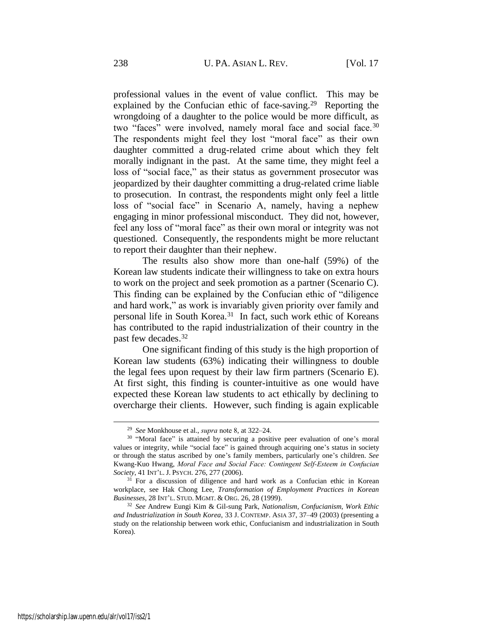professional values in the event of value conflict. This may be explained by the Confucian ethic of face-saving.<sup>29</sup> Reporting the wrongdoing of a daughter to the police would be more difficult, as two "faces" were involved, namely moral face and social face.<sup>30</sup> The respondents might feel they lost "moral face" as their own daughter committed a drug-related crime about which they felt morally indignant in the past. At the same time, they might feel a loss of "social face," as their status as government prosecutor was jeopardized by their daughter committing a drug-related crime liable to prosecution. In contrast, the respondents might only feel a little loss of "social face" in Scenario A, namely, having a nephew engaging in minor professional misconduct. They did not, however, feel any loss of "moral face" as their own moral or integrity was not questioned. Consequently, the respondents might be more reluctant to report their daughter than their nephew.

The results also show more than one-half (59%) of the Korean law students indicate their willingness to take on extra hours to work on the project and seek promotion as a partner (Scenario C). This finding can be explained by the Confucian ethic of "diligence and hard work," as work is invariably given priority over family and personal life in South Korea.<sup>31</sup> In fact, such work ethic of Koreans has contributed to the rapid industrialization of their country in the past few decades. 32

One significant finding of this study is the high proportion of Korean law students (63%) indicating their willingness to double the legal fees upon request by their law firm partners (Scenario E). At first sight, this finding is counter-intuitive as one would have expected these Korean law students to act ethically by declining to overcharge their clients. However, such finding is again explicable

<sup>29</sup> *See* Monkhouse et al., *supra* not[e 8,](#page-3-1) at 322–24.

<sup>&</sup>lt;sup>30</sup> "Moral face" is attained by securing a positive peer evaluation of one's moral values or integrity, while "social face" is gained through acquiring one's status in society or through the status ascribed by one's family members, particularly one's children. *See* Kwang-Kuo Hwang, *Moral Face and Social Face: Contingent Self‐Esteem in Confucian Society*, 41 INT'L.J. PSYCH. 276, 277 (2006).

<sup>&</sup>lt;sup>31</sup> For a discussion of diligence and hard work as a Confucian ethic in Korean workplace, see Hak Chong Lee, *Transformation of Employment Practices in Korean Businesses*, 28 INT'L. STUD. MGMT. & ORG. 26, 28 (1999).

<sup>32</sup> *See* Andrew Eungi Kim & Gil-sung Park, *Nationalism, Confucianism, Work Ethic and Industrialization in South Korea*, 33 J. CONTEMP. ASIA 37, 37–49 (2003) (presenting a study on the relationship between work ethic, Confucianism and industrialization in South Korea).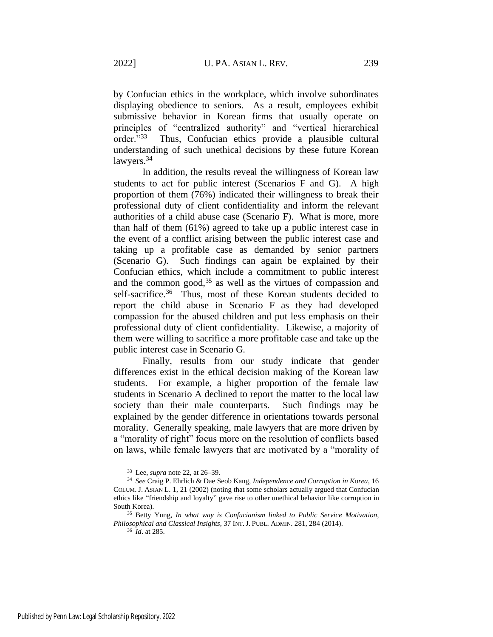by Confucian ethics in the workplace, which involve subordinates displaying obedience to seniors. As a result, employees exhibit submissive behavior in Korean firms that usually operate on principles of "centralized authority" and "vertical hierarchical order."<sup>33</sup> Thus, Confucian ethics provide a plausible cultural understanding of such unethical decisions by these future Korean lawyers.<sup>34</sup>

In addition, the results reveal the willingness of Korean law students to act for public interest (Scenarios F and G). A high proportion of them (76%) indicated their willingness to break their professional duty of client confidentiality and inform the relevant authorities of a child abuse case (Scenario F). What is more, more than half of them (61%) agreed to take up a public interest case in the event of a conflict arising between the public interest case and taking up a profitable case as demanded by senior partners (Scenario G). Such findings can again be explained by their Confucian ethics, which include a commitment to public interest and the common good, $35$  as well as the virtues of compassion and self-sacrifice.<sup>36</sup> Thus, most of these Korean students decided to report the child abuse in Scenario F as they had developed compassion for the abused children and put less emphasis on their professional duty of client confidentiality. Likewise, a majority of them were willing to sacrifice a more profitable case and take up the public interest case in Scenario G.

Finally, results from our study indicate that gender differences exist in the ethical decision making of the Korean law students. For example, a higher proportion of the female law students in Scenario A declined to report the matter to the local law society than their male counterparts. Such findings may be explained by the gender difference in orientations towards personal morality. Generally speaking, male lawyers that are more driven by a "morality of right" focus more on the resolution of conflicts based on laws, while female lawyers that are motivated by a "morality of

<sup>33</sup> Lee, *supra* note 22, at 26–39.

<sup>34</sup> *See* Craig P. Ehrlich & Dae Seob Kang, *Independence and Corruption in Korea*, 16 COLUM. J. ASIAN L. 1, 21 (2002) (noting that some scholars actually argued that Confucian ethics like "friendship and loyalty" gave rise to other unethical behavior like corruption in South Korea).

<sup>35</sup> Betty Yung, *In what way is Confucianism linked to Public Service Motivation, Philosophical and Classical Insights*, 37 INT.J. PUBL. ADMIN. 281, 284 (2014).

<sup>36</sup> *Id*. at 285.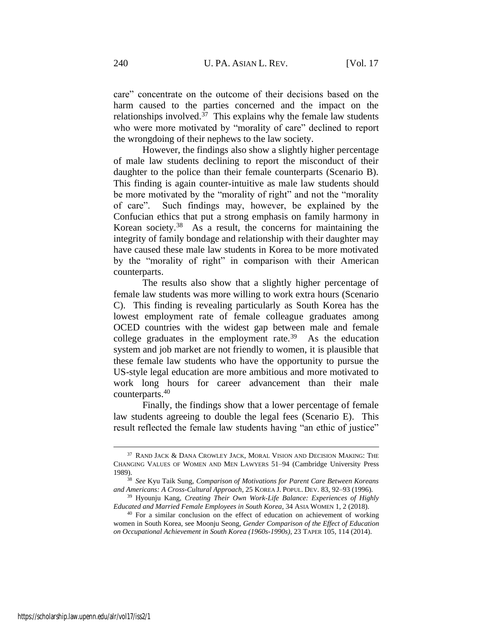care" concentrate on the outcome of their decisions based on the harm caused to the parties concerned and the impact on the relationships involved.<sup>37</sup> This explains why the female law students who were more motivated by "morality of care" declined to report the wrongdoing of their nephews to the law society.

However, the findings also show a slightly higher percentage of male law students declining to report the misconduct of their daughter to the police than their female counterparts (Scenario B). This finding is again counter-intuitive as male law students should be more motivated by the "morality of right" and not the "morality of care". Such findings may, however, be explained by the Confucian ethics that put a strong emphasis on family harmony in Korean society.<sup>38</sup> As a result, the concerns for maintaining the integrity of family bondage and relationship with their daughter may have caused these male law students in Korea to be more motivated by the "morality of right" in comparison with their American counterparts.

The results also show that a slightly higher percentage of female law students was more willing to work extra hours (Scenario C). This finding is revealing particularly as South Korea has the lowest employment rate of female colleague graduates among OCED countries with the widest gap between male and female college graduates in the employment rate.<sup>39</sup> As the education system and job market are not friendly to women, it is plausible that these female law students who have the opportunity to pursue the US-style legal education are more ambitious and more motivated to work long hours for career advancement than their male counterparts.<sup>40</sup>

Finally, the findings show that a lower percentage of female law students agreeing to double the legal fees (Scenario E). This result reflected the female law students having "an ethic of justice"

<sup>&</sup>lt;sup>37</sup> RAND JACK & DANA CROWLEY JACK, MORAL VISION AND DECISION MAKING: THE CHANGING VALUES OF WOMEN AND MEN LAWYERS 51–94 (Cambridge University Press 1989).

<sup>38</sup> *See* Kyu Taik Sung, *Comparison of Motivations for Parent Care Between Koreans and Americans: A Cross-Cultural Approach*, 25 KOREA J. POPUL. DEV. 83, 92–93 (1996).

<sup>39</sup> Hyounju Kang, *Creating Their Own Work-Life Balance: Experiences of Highly Educated and Married Female Employees in South Korea*, 34 ASIA WOMEN 1, 2 (2018).

<sup>40</sup> For a similar conclusion on the effect of education on achievement of working women in South Korea, see Moonju Seong, *Gender Comparison of the Effect of Education on Occupational Achievement in South Korea (1960s-1990s)*, 23 TAPER 105, 114 (2014).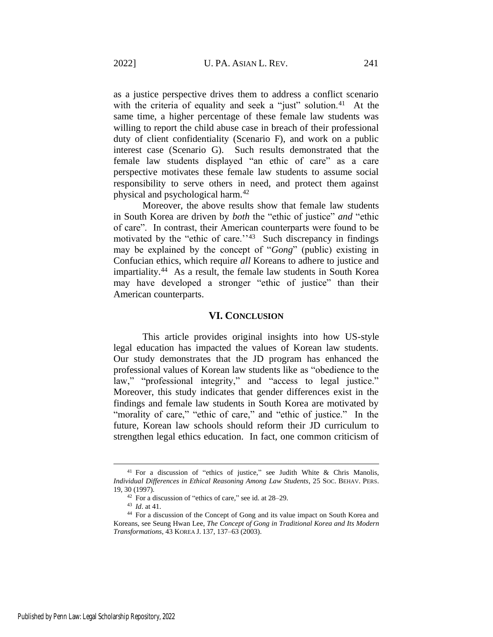as a justice perspective drives them to address a conflict scenario with the criteria of equality and seek a "just" solution.<sup>41</sup> At the same time, a higher percentage of these female law students was willing to report the child abuse case in breach of their professional duty of client confidentiality (Scenario F), and work on a public interest case (Scenario G). Such results demonstrated that the female law students displayed "an ethic of care" as a care perspective motivates these female law students to assume social responsibility to serve others in need, and protect them against physical and psychological harm.<sup>42</sup>

Moreover, the above results show that female law students in South Korea are driven by *both* the "ethic of justice" *and* "ethic of care". In contrast, their American counterparts were found to be motivated by the "ethic of care."<sup>43</sup> Such discrepancy in findings may be explained by the concept of "*Gong*" (public) existing in Confucian ethics, which require *all* Koreans to adhere to justice and impartiality.<sup>44</sup> As a result, the female law students in South Korea may have developed a stronger "ethic of justice" than their American counterparts.

#### **VI. CONCLUSION**

This article provides original insights into how US-style legal education has impacted the values of Korean law students. Our study demonstrates that the JD program has enhanced the professional values of Korean law students like as "obedience to the law," "professional integrity," and "access to legal justice." Moreover, this study indicates that gender differences exist in the findings and female law students in South Korea are motivated by "morality of care," "ethic of care," and "ethic of justice." In the future, Korean law schools should reform their JD curriculum to strengthen legal ethics education. In fact, one common criticism of

<sup>&</sup>lt;sup>41</sup> For a discussion of "ethics of justice," see Judith White & Chris Manolis, *Individual Differences in Ethical Reasoning Among Law Students*, 25 SOC. BEHAV. PERS. 19, 30 (1997).

<sup>42</sup> For a discussion of "ethics of care," see id. at 28–29.

<sup>43</sup> *Id*. at 41.

<sup>44</sup> For a discussion of the Concept of Gong and its value impact on South Korea and Koreans, see Seung Hwan Lee, *The Concept of Gong in Traditional Korea and Its Modern Transformations*, 43 KOREA J. 137, 137–63 (2003).